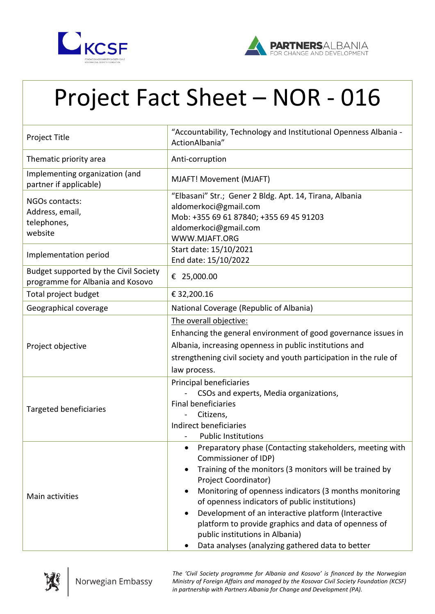



## Project Fact Sheet – NOR - 016

| Project Title                                                             | "Accountability, Technology and Institutional Openness Albania -<br>ActionAlbania"                                                                                                                                                                                                                                                                                                                                                                                                                                                        |
|---------------------------------------------------------------------------|-------------------------------------------------------------------------------------------------------------------------------------------------------------------------------------------------------------------------------------------------------------------------------------------------------------------------------------------------------------------------------------------------------------------------------------------------------------------------------------------------------------------------------------------|
| Thematic priority area                                                    | Anti-corruption                                                                                                                                                                                                                                                                                                                                                                                                                                                                                                                           |
| Implementing organization (and<br>partner if applicable)                  | MJAFT! Movement (MJAFT)                                                                                                                                                                                                                                                                                                                                                                                                                                                                                                                   |
| NGOs contacts:<br>Address, email,<br>telephones,<br>website               | "Elbasani" Str.; Gener 2 Bldg. Apt. 14, Tirana, Albania<br>aldomerkoci@gmail.com<br>Mob: +355 69 61 87840; +355 69 45 91203<br>aldomerkoci@gmail.com<br>WWW.MJAFT.ORG                                                                                                                                                                                                                                                                                                                                                                     |
| Implementation period                                                     | Start date: 15/10/2021<br>End date: 15/10/2022                                                                                                                                                                                                                                                                                                                                                                                                                                                                                            |
| Budget supported by the Civil Society<br>programme for Albania and Kosovo | € 25,000.00                                                                                                                                                                                                                                                                                                                                                                                                                                                                                                                               |
| Total project budget                                                      | € 32,200.16                                                                                                                                                                                                                                                                                                                                                                                                                                                                                                                               |
| Geographical coverage                                                     | National Coverage (Republic of Albania)                                                                                                                                                                                                                                                                                                                                                                                                                                                                                                   |
| Project objective                                                         | The overall objective:<br>Enhancing the general environment of good governance issues in<br>Albania, increasing openness in public institutions and<br>strengthening civil society and youth participation in the rule of<br>law process.                                                                                                                                                                                                                                                                                                 |
| Targeted beneficiaries                                                    | Principal beneficiaries<br>CSOs and experts, Media organizations,<br><b>Final beneficiaries</b><br>Citizens,<br>Indirect beneficiaries<br><b>Public Institutions</b>                                                                                                                                                                                                                                                                                                                                                                      |
| Main activities                                                           | Preparatory phase (Contacting stakeholders, meeting with<br>$\bullet$<br>Commissioner of IDP)<br>Training of the monitors (3 monitors will be trained by<br>$\bullet$<br>Project Coordinator)<br>Monitoring of openness indicators (3 months monitoring<br>$\bullet$<br>of openness indicators of public institutions)<br>Development of an interactive platform (Interactive<br>$\bullet$<br>platform to provide graphics and data of openness of<br>public institutions in Albania)<br>Data analyses (analyzing gathered data to better |



*The 'Civil Society programme for Albania and Kosovo' is financed by the Norwegian Ministry of Foreign Affairs and managed by the Kosovar Civil Society Foundation (KCSF) in partnership with Partners Albania for Change and Development (PA).*